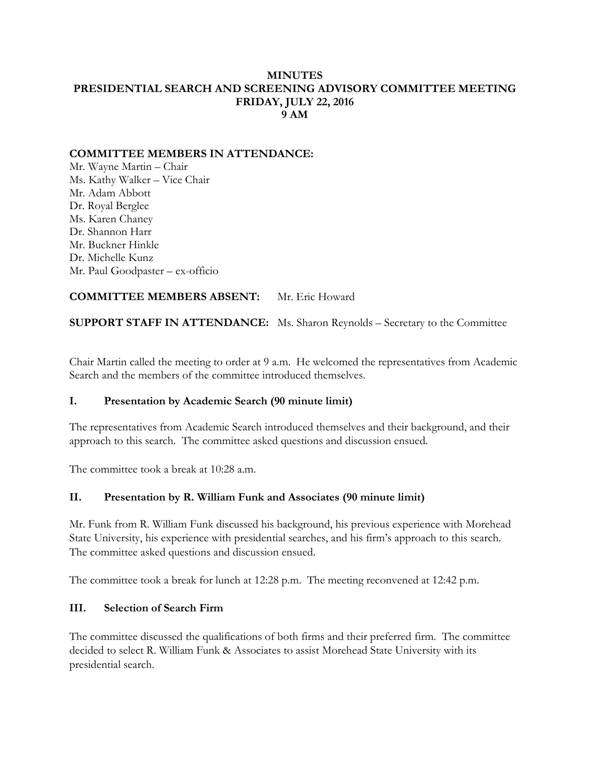#### **MINUTES PRESIDENTIAL SEARCH AND SCREENING ADVISORY COMMITTEE MEETING FRIDAY, JULY 22, 2016 9 AM**

## **COMMITTEE MEMBERS IN ATTENDANCE:**

Mr. Wayne Martin – Chair Ms. Kathy Walker – Vice Chair Mr. Adam Abbott Dr. Royal Berglee Ms. Karen Chaney Dr. Shannon Harr Mr. Buckner Hinkle Dr. Michelle Kunz Mr. Paul Goodpaster – ex-officio

## **COMMITTEE MEMBERS ABSENT:** Mr. Eric Howard

**SUPPORT STAFF IN ATTENDANCE:** Ms. Sharon Reynolds – Secretary to the Committee

Chair Martin called the meeting to order at 9 a.m. He welcomed the representatives from Academic Search and the members of the committee introduced themselves.

#### **I. Presentation by Academic Search (90 minute limit)**

The representatives from Academic Search introduced themselves and their background, and their approach to this search. The committee asked questions and discussion ensued.

The committee took a break at 10:28 a.m.

## **II. Presentation by R. William Funk and Associates (90 minute limit)**

Mr. Funk from R. William Funk discussed his background, his previous experience with Morehead State University, his experience with presidential searches, and his firm's approach to this search. The committee asked questions and discussion ensued.

The committee took a break for lunch at 12:28 p.m. The meeting reconvened at 12:42 p.m.

#### **III. Selection of Search Firm**

The committee discussed the qualifications of both firms and their preferred firm. The committee decided to select R. William Funk & Associates to assist Morehead State University with its presidential search.